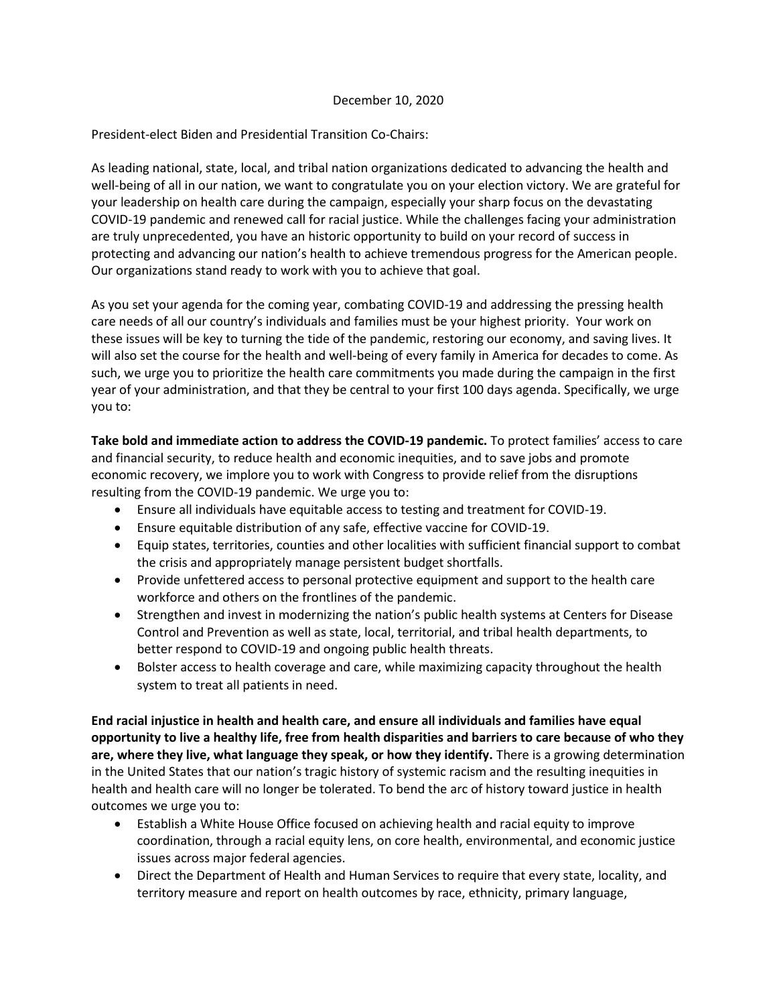## December 10, 2020

## President-elect Biden and Presidential Transition Co-Chairs:

As leading national, state, local, and tribal nation organizations dedicated to advancing the health and well-being of all in our nation, we want to congratulate you on your election victory. We are grateful for your leadership on health care during the campaign, especially your sharp focus on the devastating COVID-19 pandemic and renewed call for racial justice. While the challenges facing your administration are truly unprecedented, you have an historic opportunity to build on your record of success in protecting and advancing our nation's health to achieve tremendous progress for the American people. Our organizations stand ready to work with you to achieve that goal.

As you set your agenda for the coming year, combating COVID-19 and addressing the pressing health care needs of all our country's individuals and families must be your highest priority. Your work on these issues will be key to turning the tide of the pandemic, restoring our economy, and saving lives. It will also set the course for the health and well-being of every family in America for decades to come. As such, we urge you to prioritize the health care commitments you made during the campaign in the first year of your administration, and that they be central to your first 100 days agenda. Specifically, we urge you to:

**Take bold and immediate action to address the COVID-19 pandemic.** To protect families' access to care and financial security, to reduce health and economic inequities, and to save jobs and promote economic recovery, we implore you to work with Congress to provide relief from the disruptions resulting from the COVID-19 pandemic. We urge you to:

- Ensure all individuals have equitable access to testing and treatment for COVID-19.
- Ensure equitable distribution of any safe, effective vaccine for COVID-19.
- Equip states, territories, counties and other localities with sufficient financial support to combat the crisis and appropriately manage persistent budget shortfalls.
- Provide unfettered access to personal protective equipment and support to the health care workforce and others on the frontlines of the pandemic.
- Strengthen and invest in modernizing the nation's public health systems at Centers for Disease Control and Prevention as well as state, local, territorial, and tribal health departments, to better respond to COVID-19 and ongoing public health threats.
- Bolster access to health coverage and care, while maximizing capacity throughout the health system to treat all patients in need.

**End racial injustice in health and health care, and ensure all individuals and families have equal opportunity to live a healthy life, free from health disparities and barriers to care because of who they are, where they live, what language they speak, or how they identify.** There is a growing determination in the United States that our nation's tragic history of systemic racism and the resulting inequities in health and health care will no longer be tolerated. To bend the arc of history toward justice in health outcomes we urge you to:

- Establish a White House Office focused on achieving health and racial equity to improve coordination, through a racial equity lens, on core health, environmental, and economic justice issues across major federal agencies.
- Direct the Department of Health and Human Services to require that every state, locality, and territory measure and report on health outcomes by race, ethnicity, primary language,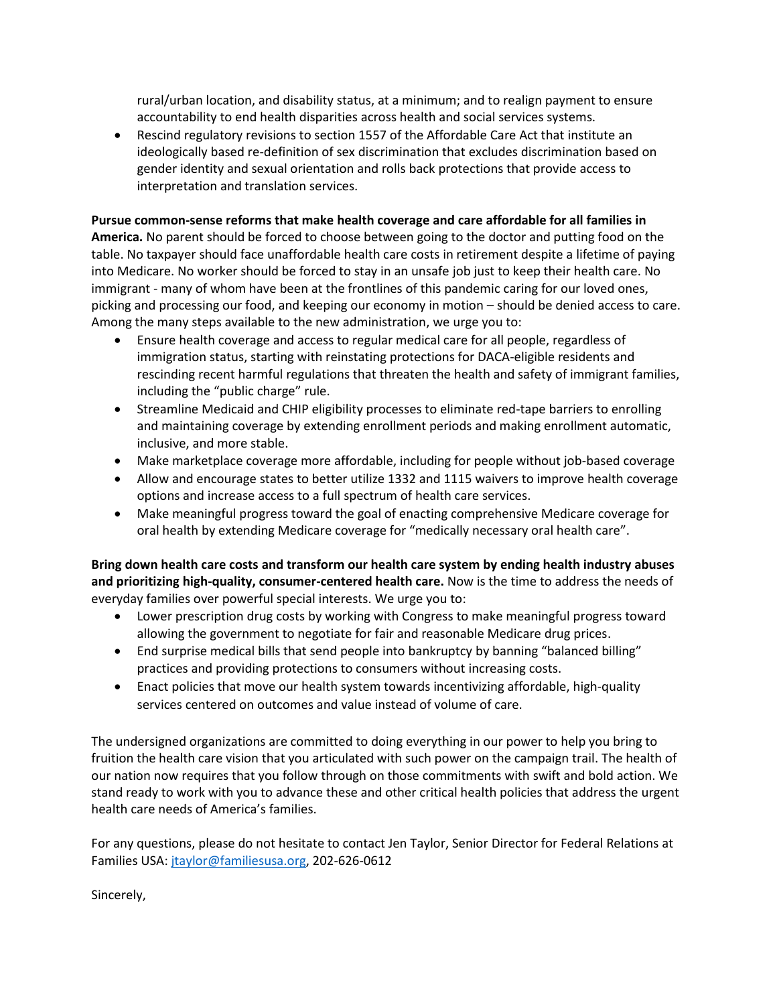rural/urban location, and disability status, at a minimum; and to realign payment to ensure accountability to end health disparities across health and social services systems.

 Rescind regulatory revisions to section 1557 of the Affordable Care Act that institute an ideologically based re-definition of sex discrimination that excludes discrimination based on gender identity and sexual orientation and rolls back protections that provide access to interpretation and translation services.

## **Pursue common-sense reforms that make health coverage and care affordable for all families in**

**America.** No parent should be forced to choose between going to the doctor and putting food on the table. No taxpayer should face unaffordable health care costs in retirement despite a lifetime of paying into Medicare. No worker should be forced to stay in an unsafe job just to keep their health care. No immigrant - many of whom have been at the frontlines of this pandemic caring for our loved ones, picking and processing our food, and keeping our economy in motion – should be denied access to care. Among the many steps available to the new administration, we urge you to:

- Ensure health coverage and access to regular medical care for all people, regardless of immigration status, starting with reinstating protections for DACA-eligible residents and rescinding recent harmful regulations that threaten the health and safety of immigrant families, including the "public charge" rule.
- Streamline Medicaid and CHIP eligibility processes to eliminate red-tape barriers to enrolling and maintaining coverage by extending enrollment periods and making enrollment automatic, inclusive, and more stable.
- Make marketplace coverage more affordable, including for people without job-based coverage
- Allow and encourage states to better utilize 1332 and 1115 waivers to improve health coverage options and increase access to a full spectrum of health care services.
- Make meaningful progress toward the goal of enacting comprehensive Medicare coverage for oral health by extending Medicare coverage for "medically necessary oral health care".

**Bring down health care costs and transform our health care system by ending health industry abuses and prioritizing high-quality, consumer-centered health care.** Now is the time to address the needs of everyday families over powerful special interests. We urge you to:

- Lower prescription drug costs by working with Congress to make meaningful progress toward allowing the government to negotiate for fair and reasonable Medicare drug prices.
- End surprise medical bills that send people into bankruptcy by banning "balanced billing" practices and providing protections to consumers without increasing costs.
- Enact policies that move our health system towards incentivizing affordable, high-quality services centered on outcomes and value instead of volume of care.

The undersigned organizations are committed to doing everything in our power to help you bring to fruition the health care vision that you articulated with such power on the campaign trail. The health of our nation now requires that you follow through on those commitments with swift and bold action. We stand ready to work with you to advance these and other critical health policies that address the urgent health care needs of America's families.

For any questions, please do not hesitate to contact Jen Taylor, Senior Director for Federal Relations at Families USA: [jtaylor@familiesusa.org,](mailto:jtaylor@familiesusa.org) 202-626-0612

Sincerely,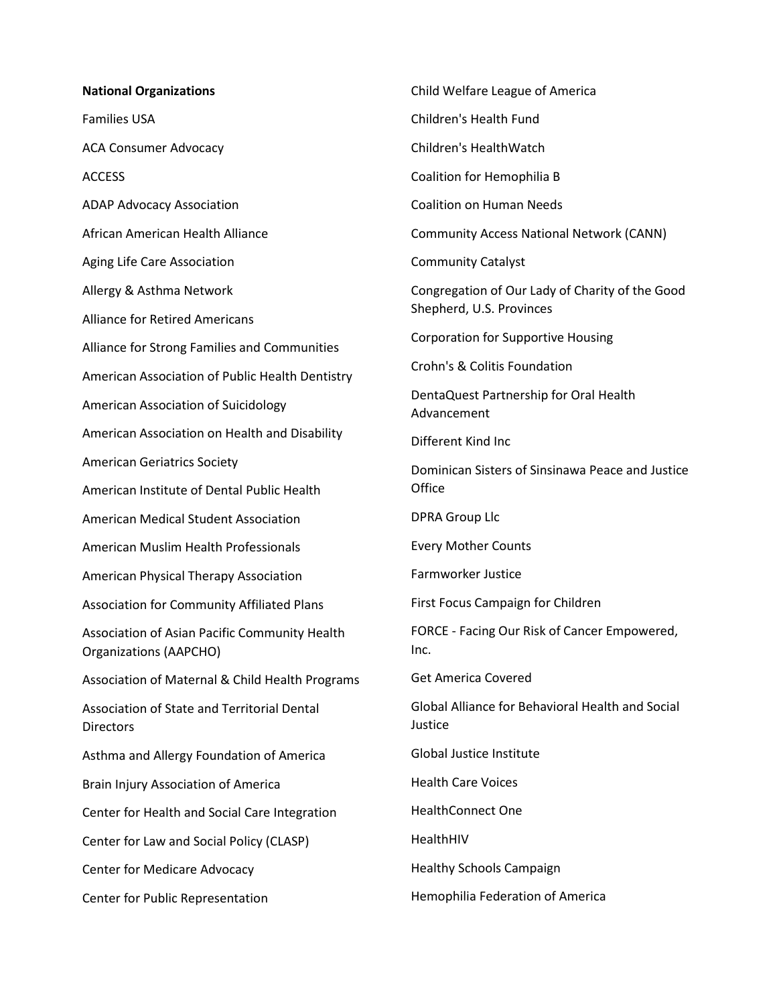## **National Organizations**

Families USA

ACA Consumer Advocacy

**ACCESS** 

ADAP Advocacy Association

African American Health Alliance

Aging Life Care Association

Allergy & Asthma Network

Alliance for Retired Americans

Alliance for Strong Families and Communities

American Association of Public Health Dentistry

American Association of Suicidology

American Association on Health and Disability

American Geriatrics Society

American Institute of Dental Public Health

American Medical Student Association

American Muslim Health Professionals

American Physical Therapy Association

Association for Community Affiliated Plans

Association of Asian Pacific Community Health Organizations (AAPCHO)

Association of Maternal & Child Health Programs

Association of State and Territorial Dental **Directors** 

Asthma and Allergy Foundation of America

Brain Injury Association of America

Center for Health and Social Care Integration

Center for Law and Social Policy (CLASP)

Center for Medicare Advocacy

Center for Public Representation

Child Welfare League of America

Children's Health Fund

Children's HealthWatch

Coalition for Hemophilia B

Coalition on Human Needs

Community Access National Network (CANN)

Community Catalyst

Congregation of Our Lady of Charity of the Good Shepherd, U.S. Provinces

Corporation for Supportive Housing

Crohn's & Colitis Foundation

DentaQuest Partnership for Oral Health Advancement

Different Kind Inc

Dominican Sisters of Sinsinawa Peace and Justice **Office** 

DPRA Group Llc

Every Mother Counts

Farmworker Justice

First Focus Campaign for Children

FORCE - Facing Our Risk of Cancer Empowered, Inc.

Get America Covered

Global Alliance for Behavioral Health and Social Justice

Global Justice Institute

Health Care Voices

HealthConnect One

HealthHIV

Healthy Schools Campaign

Hemophilia Federation of America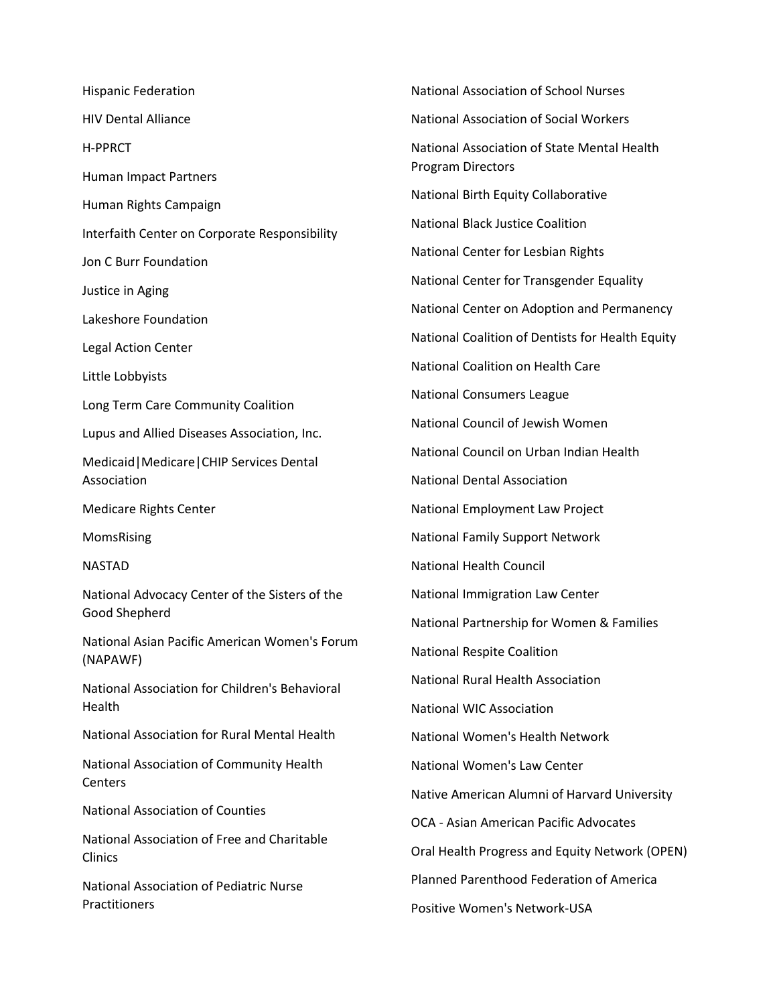Hispanic Federation HIV Dental Alliance H-PPRCT Human Impact Partners Human Rights Campaign Interfaith Center on Corporate Responsibility Jon C Burr Foundation Justice in Aging Lakeshore Foundation Legal Action Center Little Lobbyists Long Term Care Community Coalition Lupus and Allied Diseases Association, Inc. Medicaid|Medicare|CHIP Services Dental Association Medicare Rights Center MomsRising NASTAD National Advocacy Center of the Sisters of the Good Shepherd National Asian Pacific American Women's Forum (NAPAWF) National Association for Children's Behavioral Health National Association for Rural Mental Health National Association of Community Health Centers National Association of Counties National Association of Free and Charitable Clinics National Association of Pediatric Nurse **Practitioners** National Association of School Nurses

National Association of Social Workers National Association of State Mental Health Program Directors National Birth Equity Collaborative National Black Justice Coalition National Center for Lesbian Rights National Center for Transgender Equality National Center on Adoption and Permanency National Coalition of Dentists for Health Equity National Coalition on Health Care National Consumers League National Council of Jewish Women National Council on Urban Indian Health National Dental Association National Employment Law Project National Family Support Network National Health Council National Immigration Law Center National Partnership for Women & Families National Respite Coalition National Rural Health Association National WIC Association National Women's Health Network National Women's Law Center Native American Alumni of Harvard University OCA - Asian American Pacific Advocates Oral Health Progress and Equity Network (OPEN) Planned Parenthood Federation of America Positive Women's Network-USA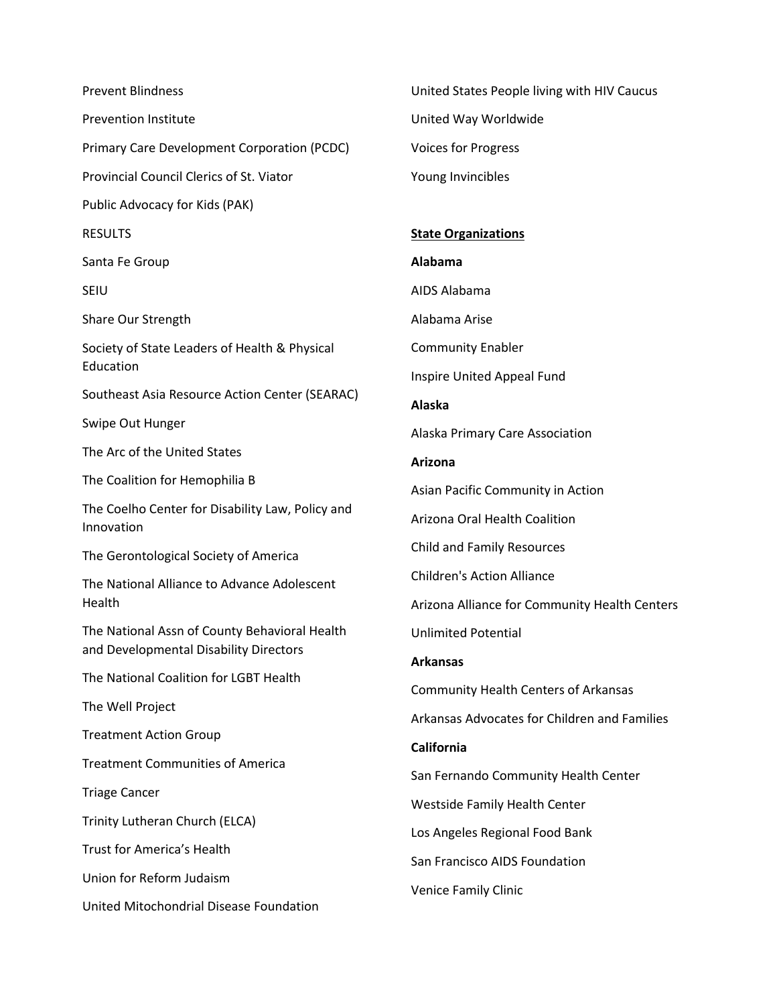Prevent Blindness Prevention Institute Primary Care Development Corporation (PCDC) Provincial Council Clerics of St. Viator Public Advocacy for Kids (PAK) **RESULTS** Santa Fe Group SEIU Share Our Strength Society of State Leaders of Health & Physical Education Southeast Asia Resource Action Center (SEARAC) Swipe Out Hunger The Arc of the United States The Coalition for Hemophilia B The Coelho Center for Disability Law, Policy and Innovation The Gerontological Society of America The National Alliance to Advance Adolescent Health The National Assn of County Behavioral Health and Developmental Disability Directors The National Coalition for LGBT Health The Well Project Treatment Action Group Treatment Communities of America Triage Cancer Trinity Lutheran Church (ELCA) Trust for America's Health Union for Reform Judaism United Mitochondrial Disease Foundation

United States People living with HIV Caucus United Way Worldwide Voices for Progress Young Invincibles **State Organizations Alabama**  AIDS Alabama Alabama Arise Community Enabler Inspire United Appeal Fund **Alaska** Alaska Primary Care Association **Arizona** Asian Pacific Community in Action Arizona Oral Health Coalition Child and Family Resources Children's Action Alliance Arizona Alliance for Community Health Centers Unlimited Potential **Arkansas** Community Health Centers of Arkansas Arkansas Advocates for Children and Families **California**

San Fernando Community Health Center Westside Family Health Center Los Angeles Regional Food Bank

San Francisco AIDS Foundation

Venice Family Clinic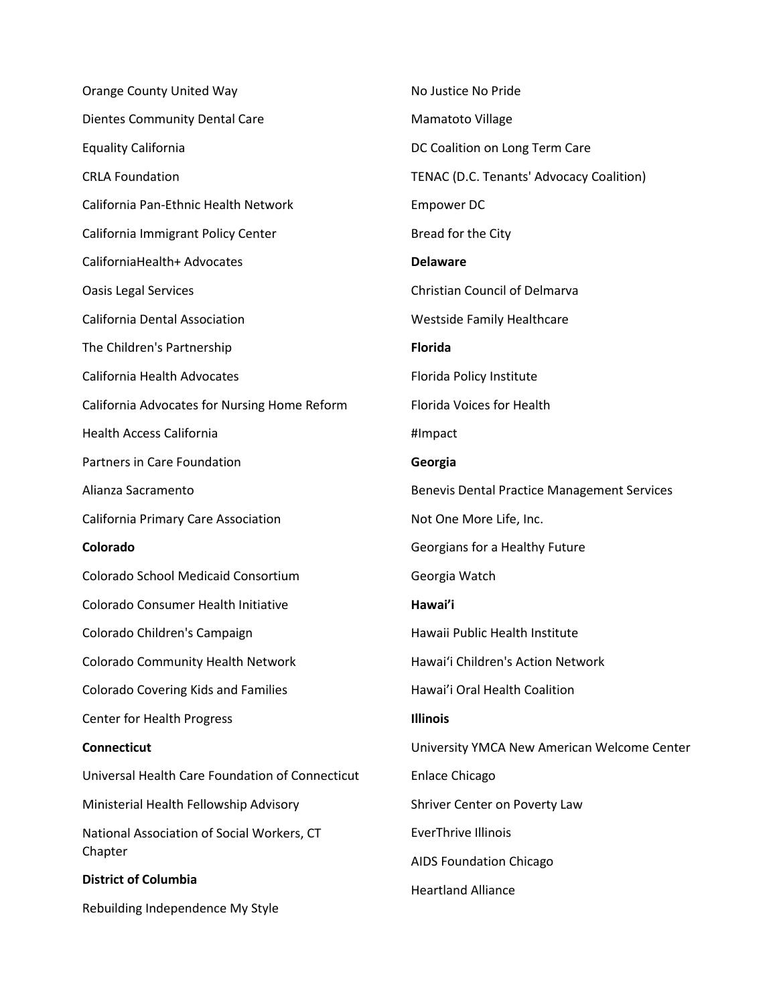Orange County United Way Dientes Community Dental Care Equality California CRLA Foundation California Pan-Ethnic Health Network California Immigrant Policy Center CaliforniaHealth+ Advocates Oasis Legal Services California Dental Association The Children's Partnership California Health Advocates California Advocates for Nursing Home Reform Health Access California Partners in Care Foundation Alianza Sacramento California Primary Care Association **Colorado** Colorado School Medicaid Consortium Colorado Consumer Health Initiative Colorado Children's Campaign Colorado Community Health Network Colorado Covering Kids and Families Center for Health Progress **Connecticut** Universal Health Care Foundation of Connecticut Ministerial Health Fellowship Advisory National Association of Social Workers, CT Chapter **District of Columbia** Rebuilding Independence My Style No Justice No Pride Mamatoto Village DC Coalition on Long Term Care TENAC (D.C. Tenants' Advocacy Coalition) Empower DC Bread for the City **Delaware** Christian Council of Delmarva Westside Family Healthcare **Florida** Florida Policy Institute Florida Voices for Health #Impact **Georgia** Benevis Dental Practice Management Services Not One More Life, Inc. Georgians for a Healthy Future Georgia Watch **Hawai'i** Hawaii Public Health Institute Hawaiʻi Children's Action Network Hawai'i Oral Health Coalition **Illinois** University YMCA New American Welcome Center Enlace Chicago Shriver Center on Poverty Law EverThrive Illinois AIDS Foundation Chicago Heartland Alliance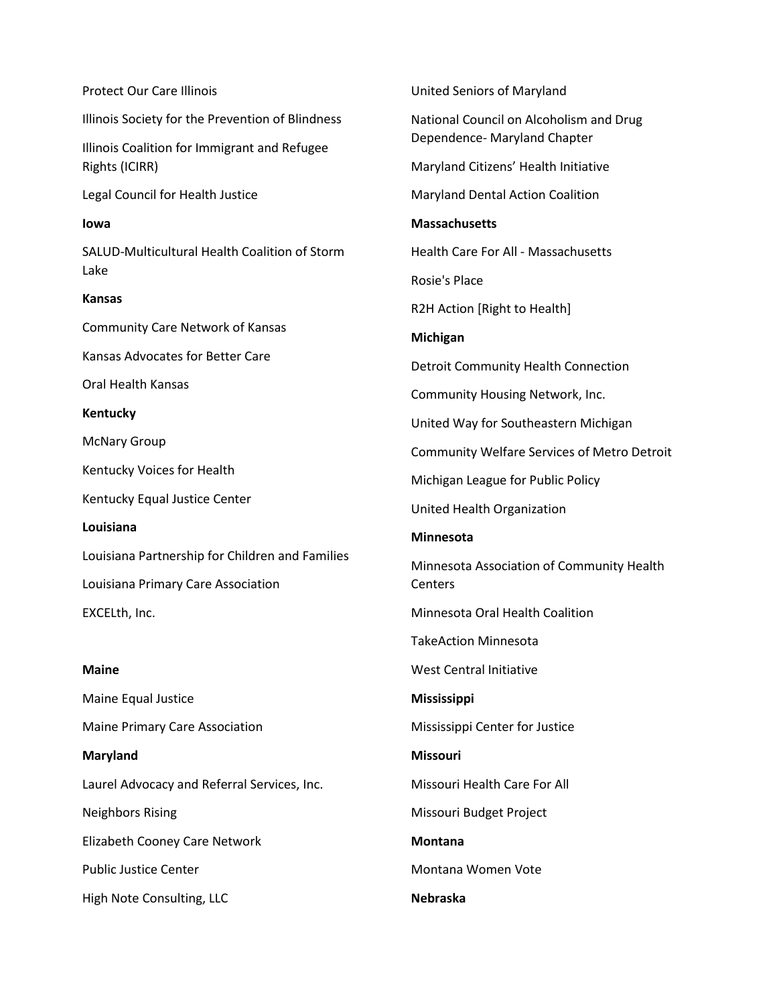| <b>Protect Our Care Illinois</b>                               | United Seniors of Maryland                                              |
|----------------------------------------------------------------|-------------------------------------------------------------------------|
| Illinois Society for the Prevention of Blindness               | National Council on Alcoholism and Drug<br>Dependence- Maryland Chapter |
| Illinois Coalition for Immigrant and Refugee<br>Rights (ICIRR) | Maryland Citizens' Health Initiative                                    |
| Legal Council for Health Justice                               | <b>Maryland Dental Action Coalition</b>                                 |
| lowa                                                           | <b>Massachusetts</b>                                                    |
| SALUD-Multicultural Health Coalition of Storm                  | <b>Health Care For All - Massachusetts</b>                              |
| Lake                                                           | Rosie's Place                                                           |
| <b>Kansas</b>                                                  | R2H Action [Right to Health]                                            |
| <b>Community Care Network of Kansas</b>                        | <b>Michigan</b>                                                         |
| Kansas Advocates for Better Care                               | Detroit Community Health Connection                                     |
| Oral Health Kansas                                             | Community Housing Network, Inc.                                         |
| Kentucky                                                       | United Way for Southeastern Michigan                                    |
| <b>McNary Group</b>                                            | Community Welfare Services of Metro Detroit                             |
| Kentucky Voices for Health                                     | Michigan League for Public Policy                                       |
| Kentucky Equal Justice Center                                  | United Health Organization                                              |
| Louisiana                                                      | <b>Minnesota</b>                                                        |
| Louisiana Partnership for Children and Families                | Minnesota Association of Community Health                               |
| Louisiana Primary Care Association                             | Centers                                                                 |
| EXCELth, Inc.                                                  | Minnesota Oral Health Coalition                                         |
|                                                                | <b>TakeAction Minnesota</b>                                             |
| <b>Maine</b>                                                   | <b>West Central Initiative</b>                                          |
| Maine Equal Justice                                            | Mississippi                                                             |
| Maine Primary Care Association                                 | Mississippi Center for Justice                                          |
| <b>Maryland</b>                                                | <b>Missouri</b>                                                         |
| Laurel Advocacy and Referral Services, Inc.                    | Missouri Health Care For All                                            |
| <b>Neighbors Rising</b>                                        | Missouri Budget Project                                                 |
| Elizabeth Cooney Care Network                                  | <b>Montana</b>                                                          |
| <b>Public Justice Center</b>                                   | Montana Women Vote                                                      |
| High Note Consulting, LLC                                      | <b>Nebraska</b>                                                         |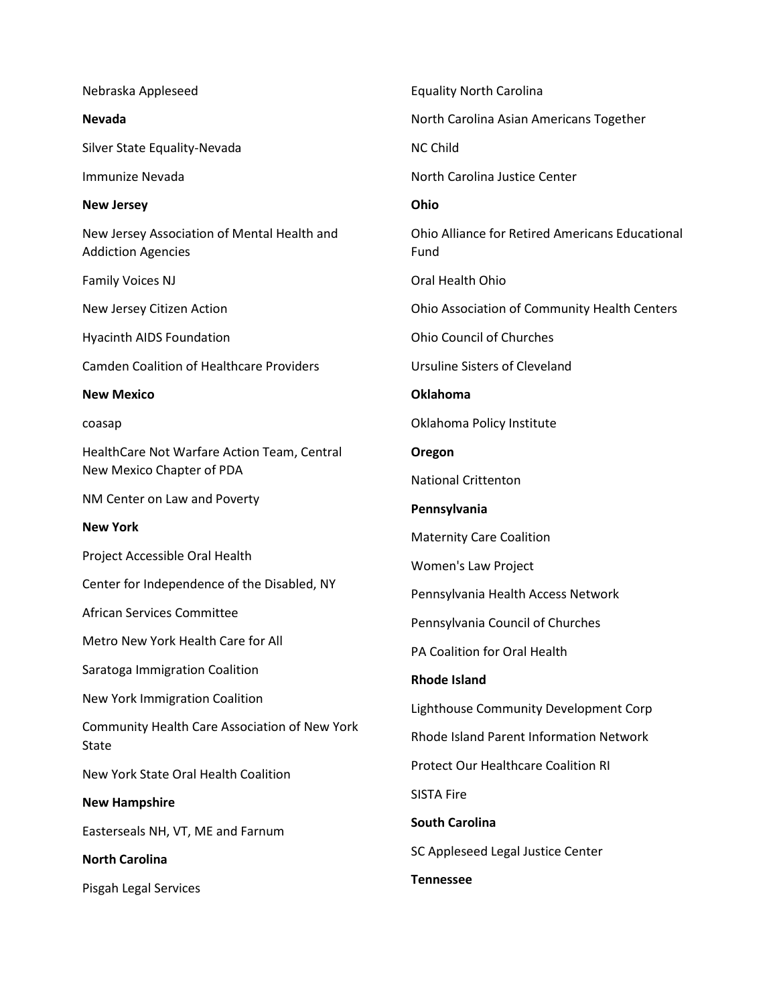| Nebraska Appleseed                                                       | <b>Equality North Carolina</b>                                 |
|--------------------------------------------------------------------------|----------------------------------------------------------------|
| <b>Nevada</b>                                                            | North Carolina Asian Americans Together                        |
| Silver State Equality-Nevada                                             | <b>NC Child</b>                                                |
| <b>Immunize Nevada</b>                                                   | North Carolina Justice Center                                  |
| <b>New Jersey</b>                                                        | Ohio                                                           |
| New Jersey Association of Mental Health and<br><b>Addiction Agencies</b> | <b>Ohio Alliance for Retired Americans Educational</b><br>Fund |
| <b>Family Voices NJ</b>                                                  | Oral Health Ohio                                               |
| New Jersey Citizen Action                                                | Ohio Association of Community Health Centers                   |
| <b>Hyacinth AIDS Foundation</b>                                          | <b>Ohio Council of Churches</b>                                |
| <b>Camden Coalition of Healthcare Providers</b>                          | Ursuline Sisters of Cleveland                                  |
| <b>New Mexico</b>                                                        | <b>Oklahoma</b>                                                |
| coasap                                                                   | Oklahoma Policy Institute                                      |
| HealthCare Not Warfare Action Team, Central<br>New Mexico Chapter of PDA | Oregon                                                         |
| NM Center on Law and Poverty                                             | <b>National Crittenton</b>                                     |
| <b>New York</b>                                                          | Pennsylvania                                                   |
| Project Accessible Oral Health                                           | <b>Maternity Care Coalition</b>                                |
| Center for Independence of the Disabled, NY                              | Women's Law Project                                            |
| African Services Committee                                               | Pennsylvania Health Access Network                             |
| Metro New York Health Care for All                                       | Pennsylvania Council of Churches                               |
| Saratoga Immigration Coalition                                           | PA Coalition for Oral Health                                   |
| New York Immigration Coalition                                           | <b>Rhode Island</b>                                            |
|                                                                          | Lighthouse Community Development Corp                          |
| Community Health Care Association of New York<br>State                   | <b>Rhode Island Parent Information Network</b>                 |
| New York State Oral Health Coalition                                     | <b>Protect Our Healthcare Coalition RI</b>                     |
| <b>New Hampshire</b>                                                     | <b>SISTA Fire</b>                                              |
| Easterseals NH, VT, ME and Farnum                                        | <b>South Carolina</b>                                          |
| <b>North Carolina</b>                                                    | SC Appleseed Legal Justice Center                              |
| Pisgah Legal Services                                                    | <b>Tennessee</b>                                               |